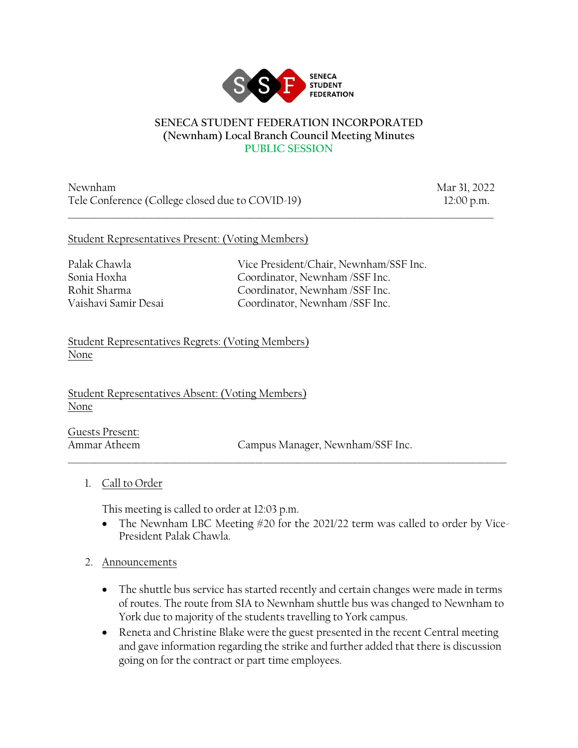

#### **SENECA STUDENT FEDERATION INCORPORATED (Newnham) Local Branch Council Meeting Minutes PUBLIC SESSION**

\_\_\_\_\_\_\_\_\_\_\_\_\_\_\_\_\_\_\_\_\_\_\_\_\_\_\_\_\_\_\_\_\_\_\_\_\_\_\_\_\_\_\_\_\_\_\_\_\_\_\_\_\_\_\_\_\_\_\_\_\_\_\_\_\_\_\_\_\_\_\_\_\_\_\_\_\_\_\_\_\_\_\_\_\_\_\_\_\_\_\_\_\_\_\_\_\_\_\_\_

Newnham Mar 31, 2022 Tele Conference (College closed due to COVID-19) 12:00 p.m.

#### Student Representatives Present: (Voting Members)

Palak Chawla Vice President/Chair, Newnham/SSF Inc. Sonia Hoxha Coordinator, Newnham /SSF Inc. Rohit Sharma Coordinator, Newnham /SSF Inc. Vaishavi Samir Desai Coordinator, Newnham /SSF Inc.

Student Representatives Regrets: (Voting Members) None

Student Representatives Absent: (Voting Members) None

Guests Present:

Ammar Atheem Campus Manager, Newnham/SSF Inc.

1. Call to Order

This meeting is called to order at 12:03 p.m.

• The Newnham LBC Meeting #20 for the 2021/22 term was called to order by Vice-President Palak Chawla.

 $\_$  ,  $\_$  ,  $\_$  ,  $\_$  ,  $\_$  ,  $\_$  ,  $\_$  ,  $\_$  ,  $\_$  ,  $\_$  ,  $\_$  ,  $\_$  ,  $\_$  ,  $\_$  ,  $\_$  ,  $\_$  ,  $\_$  ,  $\_$  ,  $\_$  ,  $\_$  ,  $\_$  ,  $\_$  ,  $\_$  ,  $\_$  ,  $\_$  ,  $\_$  ,  $\_$  ,  $\_$  ,  $\_$  ,  $\_$  ,  $\_$  ,  $\_$  ,  $\_$  ,  $\_$  ,  $\_$  ,  $\_$  ,  $\_$  ,

- 2. Announcements
	- The shuttle bus service has started recently and certain changes were made in terms of routes. The route from SIA to Newnham shuttle bus was changed to Newnham to York due to majority of the students travelling to York campus.
	- Reneta and Christine Blake were the guest presented in the recent Central meeting and gave information regarding the strike and further added that there is discussion going on for the contract or part time employees.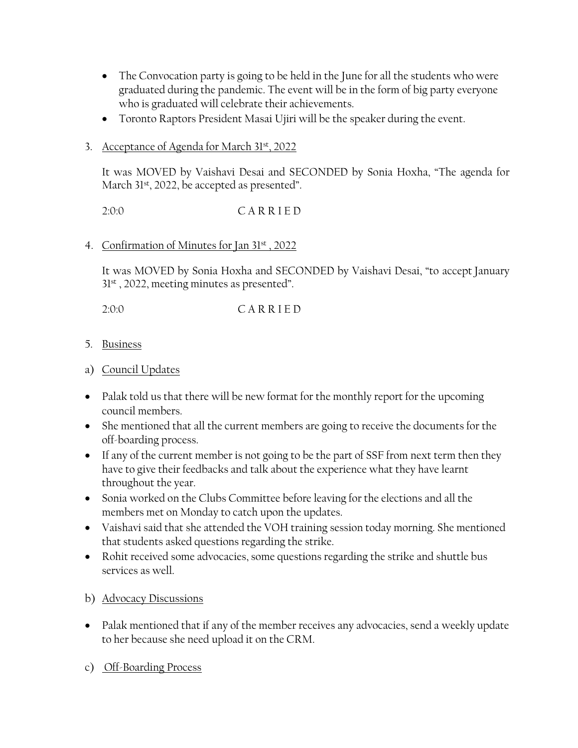- The Convocation party is going to be held in the June for all the students who were graduated during the pandemic. The event will be in the form of big party everyone who is graduated will celebrate their achievements.
- Toronto Raptors President Masai Ujiri will be the speaker during the event.

# 3. Acceptance of Agenda for March 31st, 2022

It was MOVED by Vaishavi Desai and SECONDED by Sonia Hoxha, "The agenda for March 31<sup>st</sup>, 2022, be accepted as presented".

2:0:0 C A R R I E D

### 4. Confirmation of Minutes for Jan 31st , 2022

It was MOVED by Sonia Hoxha and SECONDED by Vaishavi Desai, "to accept January 31<sup>st</sup>, 2022, meeting minutes as presented".

2:0:0 C A R R I E D

5. Business

# a) Council Updates

- Palak told us that there will be new format for the monthly report for the upcoming council members.
- She mentioned that all the current members are going to receive the documents for the off-boarding process.
- If any of the current member is not going to be the part of SSF from next term then they have to give their feedbacks and talk about the experience what they have learnt throughout the year.
- Sonia worked on the Clubs Committee before leaving for the elections and all the members met on Monday to catch upon the updates.
- Vaishavi said that she attended the VOH training session today morning. She mentioned that students asked questions regarding the strike.
- Rohit received some advocacies, some questions regarding the strike and shuttle bus services as well.

b) Advocacy Discussions

- Palak mentioned that if any of the member receives any advocacies, send a weekly update to her because she need upload it on the CRM.
- c) Off-Boarding Process